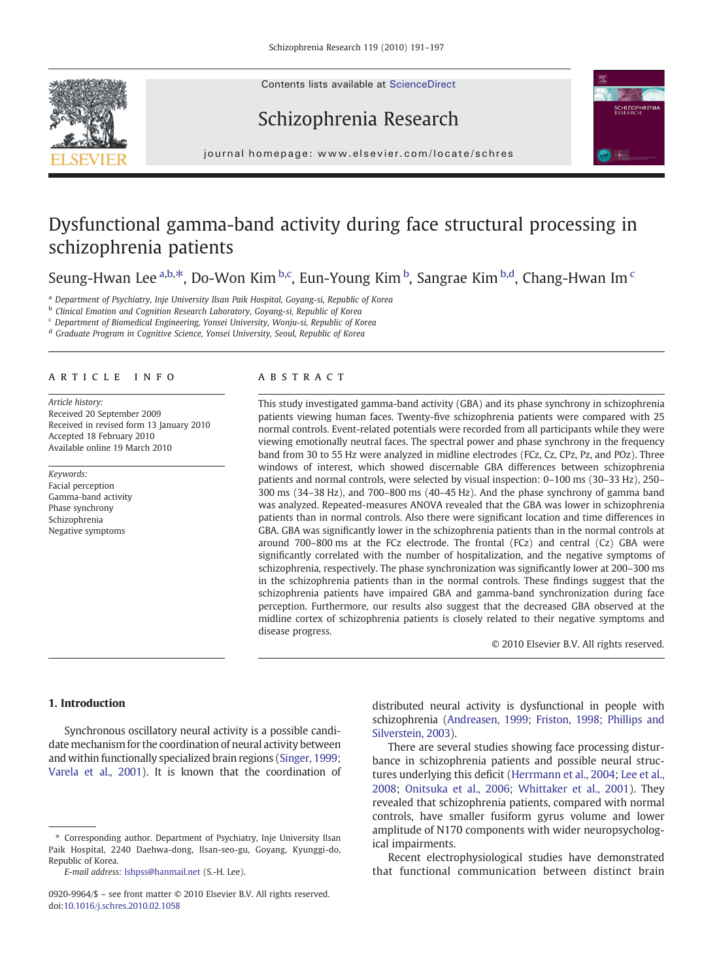Contents lists available at ScienceDirect







journal homepage: www.elsevier.com/locate/schres

# Dysfunctional gamma-band activity during face structural processing in schizophrenia patients

Seung-Hwan Lee <sup>a,b,\*</sup>, Do-Won Kim <sup>b,c</sup>, Eun-Young Kim <sup>b</sup>, Sangrae Kim <sup>b,d</sup>, Chang-Hwan Im <sup>c</sup>

<sup>a</sup> Department of Psychiatry, Inje University Ilsan Paik Hospital, Goyang-si, Republic of Korea

**b Clinical Emotion and Cognition Research Laboratory, Goyang-si, Republic of Korea** 

<sup>c</sup> Department of Biomedical Engineering, Yonsei University, Wonju-si, Republic of Korea

<sup>d</sup> Graduate Program in Cognitive Science, Yonsei University, Seoul, Republic of Korea

# article info abstract

Article history: Received 20 September 2009 Received in revised form 13 January 2010 Accepted 18 February 2010 Available online 19 March 2010

Keywords: Facial perception Gamma-band activity Phase synchrony Schizophrenia Negative symptoms

This study investigated gamma-band activity (GBA) and its phase synchrony in schizophrenia patients viewing human faces. Twenty-five schizophrenia patients were compared with 25 normal controls. Event-related potentials were recorded from all participants while they were viewing emotionally neutral faces. The spectral power and phase synchrony in the frequency band from 30 to 55 Hz were analyzed in midline electrodes (FCz, Cz, CPz, Pz, and POz). Three windows of interest, which showed discernable GBA differences between schizophrenia patients and normal controls, were selected by visual inspection: 0–100 ms (30–33 Hz), 250– 300 ms (34–38 Hz), and 700–800 ms (40–45 Hz). And the phase synchrony of gamma band was analyzed. Repeated-measures ANOVA revealed that the GBA was lower in schizophrenia patients than in normal controls. Also there were significant location and time differences in GBA. GBA was significantly lower in the schizophrenia patients than in the normal controls at around 700–800 ms at the FCz electrode. The frontal (FCz) and central (Cz) GBA were significantly correlated with the number of hospitalization, and the negative symptoms of schizophrenia, respectively. The phase synchronization was significantly lower at 200–300 ms in the schizophrenia patients than in the normal controls. These findings suggest that the schizophrenia patients have impaired GBA and gamma-band synchronization during face perception. Furthermore, our results also suggest that the decreased GBA observed at the midline cortex of schizophrenia patients is closely related to their negative symptoms and disease progress.

© 2010 Elsevier B.V. All rights reserved.

# 1. Introduction

Synchronous oscillatory neural activity is a possible candidate mechanism for the coordination of neural activity between and within functionally specialized brain regions ([Singer, 1999;](#page-6-0) [Varela et al., 2001](#page-6-0)). It is known that the coordination of distributed neural activity is dysfunctional in people with schizophrenia ([Andreasen, 1999; Friston, 1998; Phillips and](#page-6-0) [Silverstein, 2003\)](#page-6-0).

There are several studies showing face processing disturbance in schizophrenia patients and possible neural structures underlying this deficit [\(Herrmann et al., 2004;](#page-6-0) [Lee et al.,](#page-6-0) [2008](#page-6-0); [Onitsuka et al., 2006;](#page-6-0) [Whittaker et al., 2001](#page-6-0)). They revealed that schizophrenia patients, compared with normal controls, have smaller fusiform gyrus volume and lower amplitude of N170 components with wider neuropsychological impairments.

Recent electrophysiological studies have demonstrated that functional communication between distinct brain

<sup>⁎</sup> Corresponding author. Department of Psychiatry, Inje University Ilsan Paik Hospital, 2240 Daehwa-dong, Ilsan-seo-gu, Goyang, Kyunggi-do, Republic of Korea.

E-mail address: [lshpss@hanmail.net](mailto:lshpss@hanmail.net) (S.-H. Lee).

<sup>0920-9964/\$</sup> – see front matter © 2010 Elsevier B.V. All rights reserved. doi[:10.1016/j.schres.2010.02.1058](http://dx.doi.org/10.1016/j.schres.2010.02.1058)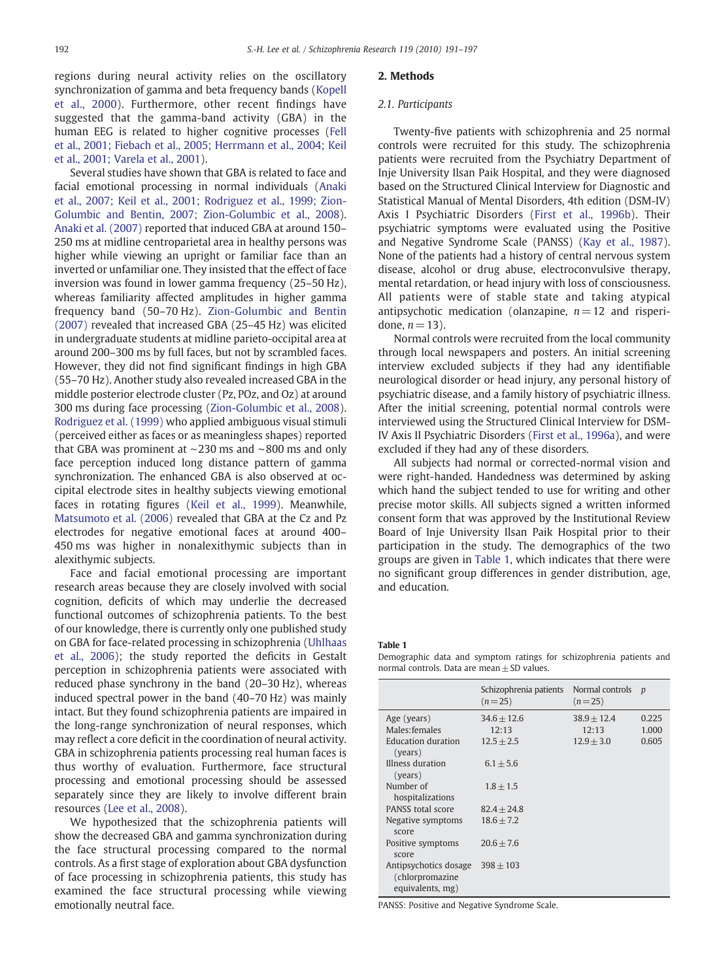regions during neural activity relies on the oscillatory synchronization of gamma and beta frequency bands [\(Kopell](#page-6-0) [et al., 2000](#page-6-0)). Furthermore, other recent findings have suggested that the gamma-band activity (GBA) in the human EEG is related to higher cognitive processes ([Fell](#page-6-0) [et al., 2001; Fiebach et al., 2005; Herrmann et al., 2004; Keil](#page-6-0) [et al., 2001; Varela et al., 2001\)](#page-6-0).

Several studies have shown that GBA is related to face and facial emotional processing in normal individuals ([Anaki](#page-6-0) [et al., 2007; Keil et al., 2001; Rodriguez et al., 1999; Zion-](#page-6-0)[Golumbic and Bentin, 2007; Zion-Golumbic et al., 2008](#page-6-0)). [Anaki et al. \(2007\)](#page-6-0) reported that induced GBA at around 150– 250 ms at midline centroparietal area in healthy persons was higher while viewing an upright or familiar face than an inverted or unfamiliar one. They insisted that the effect of face inversion was found in lower gamma frequency (25–50 Hz), whereas familiarity affected amplitudes in higher gamma frequency band (50–70 Hz). [Zion-Golumbic and Bentin](#page-6-0) [\(2007\)](#page-6-0) revealed that increased GBA (25–45 Hz) was elicited in undergraduate students at midline parieto-occipital area at around 200–300 ms by full faces, but not by scrambled faces. However, they did not find significant findings in high GBA (55–70 Hz). Another study also revealed increased GBA in the middle posterior electrode cluster (Pz, POz, and Oz) at around 300 ms during face processing [\(Zion-Golumbic et al., 2008](#page-6-0)). [Rodriguez et al. \(1999\)](#page-6-0) who applied ambiguous visual stimuli (perceived either as faces or as meaningless shapes) reported that GBA was prominent at ∼230 ms and ∼800 ms and only face perception induced long distance pattern of gamma synchronization. The enhanced GBA is also observed at occipital electrode sites in healthy subjects viewing emotional faces in rotating figures [\(Keil et al., 1999](#page-6-0)). Meanwhile, [Matsumoto et al. \(2006\)](#page-6-0) revealed that GBA at the Cz and Pz electrodes for negative emotional faces at around 400– 450 ms was higher in nonalexithymic subjects than in alexithymic subjects.

Face and facial emotional processing are important research areas because they are closely involved with social cognition, deficits of which may underlie the decreased functional outcomes of schizophrenia patients. To the best of our knowledge, there is currently only one published study on GBA for face-related processing in schizophrenia [\(Uhlhaas](#page-6-0) [et al., 2006\)](#page-6-0); the study reported the deficits in Gestalt perception in schizophrenia patients were associated with reduced phase synchrony in the band (20–30 Hz), whereas induced spectral power in the band (40–70 Hz) was mainly intact. But they found schizophrenia patients are impaired in the long-range synchronization of neural responses, which may reflect a core deficit in the coordination of neural activity. GBA in schizophrenia patients processing real human faces is thus worthy of evaluation. Furthermore, face structural processing and emotional processing should be assessed separately since they are likely to involve different brain resources ([Lee et al., 2008](#page-6-0)).

We hypothesized that the schizophrenia patients will show the decreased GBA and gamma synchronization during the face structural processing compared to the normal controls. As a first stage of exploration about GBA dysfunction of face processing in schizophrenia patients, this study has examined the face structural processing while viewing emotionally neutral face.

# 2. Methods

# 2.1. Participants

Twenty-five patients with schizophrenia and 25 normal controls were recruited for this study. The schizophrenia patients were recruited from the Psychiatry Department of Inje University Ilsan Paik Hospital, and they were diagnosed based on the Structured Clinical Interview for Diagnostic and Statistical Manual of Mental Disorders, 4th edition (DSM-IV) Axis I Psychiatric Disorders ([First et al., 1996b\)](#page-6-0). Their psychiatric symptoms were evaluated using the Positive and Negative Syndrome Scale (PANSS) ([Kay et al., 1987](#page-6-0)). None of the patients had a history of central nervous system disease, alcohol or drug abuse, electroconvulsive therapy, mental retardation, or head injury with loss of consciousness. All patients were of stable state and taking atypical antipsychotic medication (olanzapine,  $n=12$  and risperidone,  $n = 13$ ).

Normal controls were recruited from the local community through local newspapers and posters. An initial screening interview excluded subjects if they had any identifiable neurological disorder or head injury, any personal history of psychiatric disease, and a family history of psychiatric illness. After the initial screening, potential normal controls were interviewed using the Structured Clinical Interview for DSM-IV Axis II Psychiatric Disorders [\(First et al., 1996a\)](#page-6-0), and were excluded if they had any of these disorders.

All subjects had normal or corrected-normal vision and were right-handed. Handedness was determined by asking which hand the subject tended to use for writing and other precise motor skills. All subjects signed a written informed consent form that was approved by the Institutional Review Board of Inje University Ilsan Paik Hospital prior to their participation in the study. The demographics of the two groups are given in Table 1, which indicates that there were no significant group differences in gender distribution, age, and education.

Table 1

Demographic data and symptom ratings for schizophrenia patients and normal controls. Data are mean  $+$  SD values.

|                                                                | Schizophrenia patients<br>$(n=25)$     | Normal controls<br>$(n=25)$            | $\boldsymbol{p}$        |
|----------------------------------------------------------------|----------------------------------------|----------------------------------------|-------------------------|
| Age (years)<br>Males: females<br>Education duration<br>(years) | $34.6 + 12.6$<br>12:13<br>$12.5 + 2.5$ | $38.9 + 12.4$<br>12:13<br>$12.9 + 3.0$ | 0.225<br>1.000<br>0.605 |
| Illness duration<br>(years)                                    | $6.1 + 5.6$                            |                                        |                         |
| Number of<br>hospitalizations                                  | $1.8 + 1.5$                            |                                        |                         |
| PANSS total score                                              | $82.4 + 24.8$                          |                                        |                         |
| Negative symptoms<br>score                                     | $18.6 + 7.2$                           |                                        |                         |
| Positive symptoms<br>score                                     | $20.6 + 7.6$                           |                                        |                         |
| Antipsychotics dosage<br>(chlorpromazine<br>equivalents, mg)   | $398 + 103$                            |                                        |                         |

PANSS: Positive and Negative Syndrome Scale.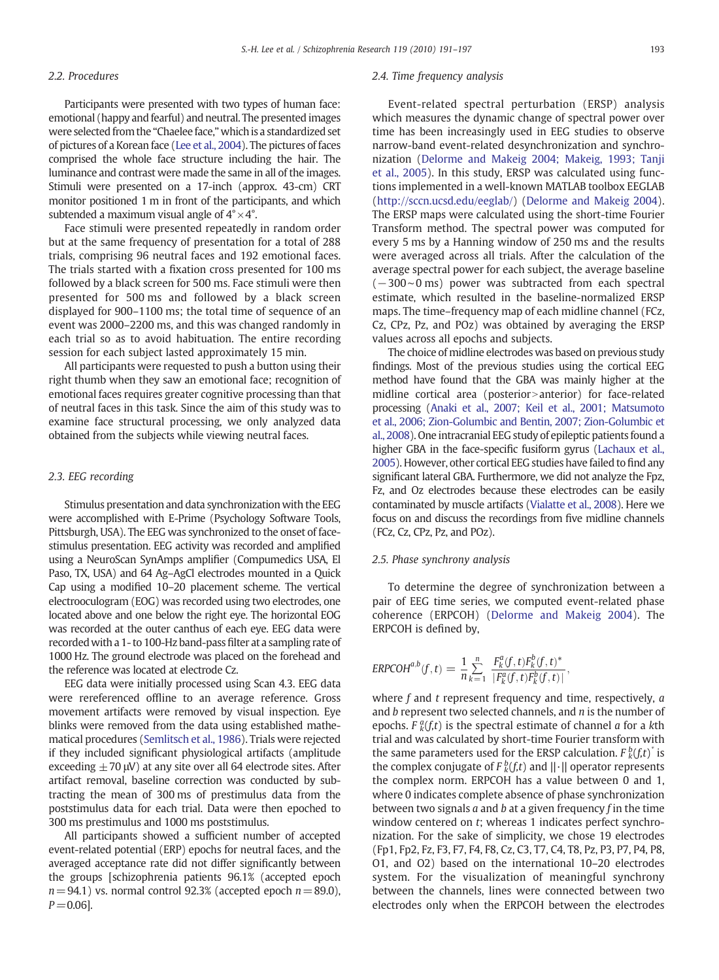# 2.2. Procedures

Participants were presented with two types of human face: emotional (happy and fearful) and neutral. The presented images were selected from the "Chaelee face," whichis a standardized set of pictures of a Korean face [\(Lee et al., 2004\)](#page-6-0). The pictures of faces comprised the whole face structure including the hair. The luminance and contrast were made the same in all of the images. Stimuli were presented on a 17-inch (approx. 43-cm) CRT monitor positioned 1 m in front of the participants, and which subtended a maximum visual angle of  $4^{\circ} \times 4^{\circ}$ .

Face stimuli were presented repeatedly in random order but at the same frequency of presentation for a total of 288 trials, comprising 96 neutral faces and 192 emotional faces. The trials started with a fixation cross presented for 100 ms followed by a black screen for 500 ms. Face stimuli were then presented for 500 ms and followed by a black screen displayed for 900–1100 ms; the total time of sequence of an event was 2000–2200 ms, and this was changed randomly in each trial so as to avoid habituation. The entire recording session for each subject lasted approximately 15 min.

All participants were requested to push a button using their right thumb when they saw an emotional face; recognition of emotional faces requires greater cognitive processing than that of neutral faces in this task. Since the aim of this study was to examine face structural processing, we only analyzed data obtained from the subjects while viewing neutral faces.

# 2.3. EEG recording

Stimulus presentation and data synchronization with the EEG were accomplished with E-Prime (Psychology Software Tools, Pittsburgh, USA). The EEG was synchronized to the onset of facestimulus presentation. EEG activity was recorded and amplified using a NeuroScan SynAmps amplifier (Compumedics USA, El Paso, TX, USA) and 64 Ag–AgCl electrodes mounted in a Quick Cap using a modified 10–20 placement scheme. The vertical electrooculogram (EOG) was recorded using two electrodes, one located above and one below the right eye. The horizontal EOG was recorded at the outer canthus of each eye. EEG data were recorded with a 1- to 100-Hz band-passfilter at a sampling rate of 1000 Hz. The ground electrode was placed on the forehead and the reference was located at electrode Cz.

EEG data were initially processed using Scan 4.3. EEG data were rereferenced offline to an average reference. Gross movement artifacts were removed by visual inspection. Eye blinks were removed from the data using established mathematical procedures [\(Semlitsch et al., 1986](#page-6-0)). Trials were rejected if they included significant physiological artifacts (amplitude exceeding  $\pm$  70 μV) at any site over all 64 electrode sites. After artifact removal, baseline correction was conducted by subtracting the mean of 300 ms of prestimulus data from the poststimulus data for each trial. Data were then epoched to 300 ms prestimulus and 1000 ms poststimulus.

All participants showed a sufficient number of accepted event-related potential (ERP) epochs for neutral faces, and the averaged acceptance rate did not differ significantly between the groups [schizophrenia patients 96.1% (accepted epoch  $n=94.1$ ) vs. normal control 92.3% (accepted epoch  $n=89.0$ ),  $P = 0.06$ ].

# 2.4. Time frequency analysis

Event-related spectral perturbation (ERSP) analysis which measures the dynamic change of spectral power over time has been increasingly used in EEG studies to observe narrow-band event-related desynchronization and synchronization [\(Delorme and Makeig 2004; Makeig, 1993; Tanji](#page-6-0) [et al., 2005](#page-6-0)). In this study, ERSP was calculated using functions implemented in a well-known MATLAB toolbox EEGLAB (<http://sccn.ucsd.edu/eeglab/>) [\(Delorme and Makeig 2004\)](#page-6-0). The ERSP maps were calculated using the short-time Fourier Transform method. The spectral power was computed for every 5 ms by a Hanning window of 250 ms and the results were averaged across all trials. After the calculation of the average spectral power for each subject, the average baseline (−300∼0 ms) power was subtracted from each spectral estimate, which resulted in the baseline-normalized ERSP maps. The time–frequency map of each midline channel (FCz, Cz, CPz, Pz, and POz) was obtained by averaging the ERSP values across all epochs and subjects.

The choice of midline electrodes was based on previous study findings. Most of the previous studies using the cortical EEG method have found that the GBA was mainly higher at the midline cortical area (posterior>anterior) for face-related processing [\(Anaki et al., 2007; Keil et al., 2001; Matsumoto](#page-6-0) [et al., 2006; Zion-Golumbic and](#page-6-0) Bentin, 2007; Zion-Golumbic et [al., 2008](#page-6-0)). One intracranial EEG study of epileptic patients found a higher GBA in the face-specific fusiform gyrus ([Lachaux et al.,](#page-6-0) [2005](#page-6-0)). However, other cortical EEG studies have failed to find any significant lateral GBA. Furthermore, we did not analyze the Fpz, Fz, and Oz electrodes because these electrodes can be easily contaminated by muscle artifacts [\(Vialatte et al., 2008\)](#page-6-0). Here we focus on and discuss the recordings from five midline channels (FCz, Cz, CPz, Pz, and POz).

# 2.5. Phase synchrony analysis

To determine the degree of synchronization between a pair of EEG time series, we computed event-related phase coherence (ERPCOH) ([Delorme and Makeig 2004\)](#page-6-0). The ERPCOH is defined by,

$$
ERPCOH^{a,b}(f,t) = \frac{1}{n} \sum_{k=1}^{n} \frac{F_k^a(f,t)F_k^b(f,t)^*}{|F_k^a(f,t)F_k^b(f,t)|},
$$

where  $f$  and  $t$  represent frequency and time, respectively,  $a$ and  $b$  represent two selected channels, and  $n$  is the number of epochs.  $F_k^a(f,t)$  is the spectral estimate of channel *a* for a *k*th trial and was calculated by short-time Fourier transform with the same parameters used for the ERSP calculation.  $F^b_k(f,t)^*$  is the complex conjugate of  $F^b_k(f,t)$  and  $||\cdot||$  operator represents the complex norm. ERPCOH has a value between 0 and 1, where 0 indicates complete absence of phase synchronization between two signals  $a$  and  $b$  at a given frequency  $f$  in the time window centered on t: whereas 1 indicates perfect synchronization. For the sake of simplicity, we chose 19 electrodes (Fp1, Fp2, Fz, F3, F7, F4, F8, Cz, C3, T7, C4, T8, Pz, P3, P7, P4, P8, O1, and O2) based on the international 10–20 electrodes system. For the visualization of meaningful synchrony between the channels, lines were connected between two electrodes only when the ERPCOH between the electrodes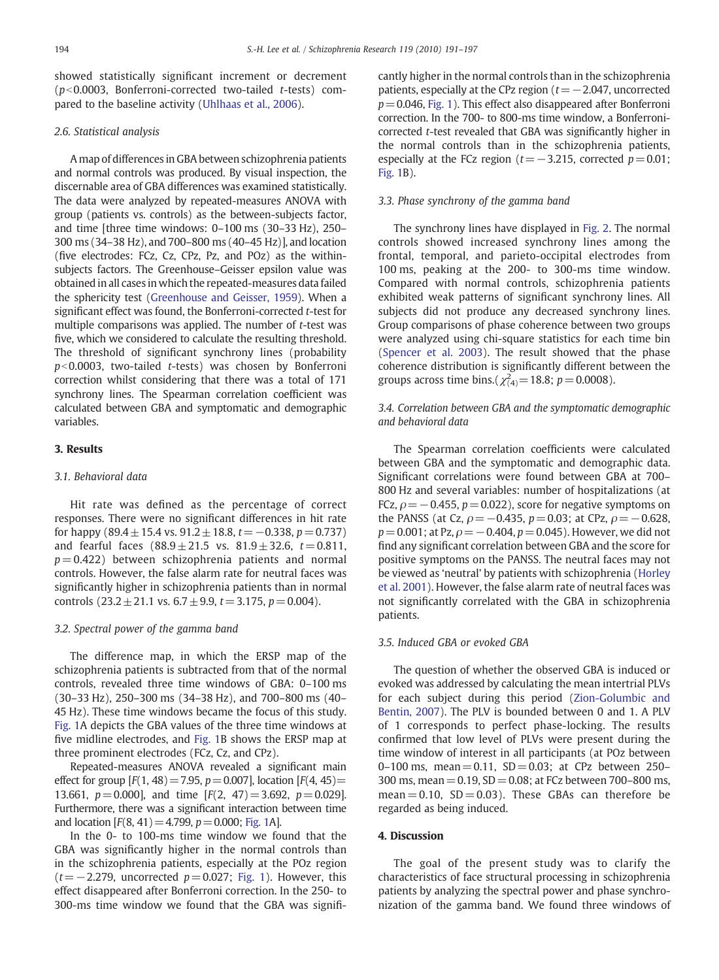showed statistically significant increment or decrement  $(p<0.0003$ , Bonferroni-corrected two-tailed t-tests) compared to the baseline activity [\(Uhlhaas et al., 2006](#page-6-0)).

# 2.6. Statistical analysis

A map of differences in GBA between schizophrenia patients and normal controls was produced. By visual inspection, the discernable area of GBA differences was examined statistically. The data were analyzed by repeated-measures ANOVA with group (patients vs. controls) as the between-subjects factor, and time [three time windows: 0–100 ms (30–33 Hz), 250– 300 ms (34–38 Hz), and 700–800 ms (40–45 Hz)], and location (five electrodes: FCz, Cz, CPz, Pz, and POz) as the withinsubjects factors. The Greenhouse–Geisser epsilon value was obtained in all cases in which the repeated-measures data failed the sphericity test [\(Greenhouse and Geisser, 1959](#page-6-0)). When a significant effect was found, the Bonferroni-corrected t-test for multiple comparisons was applied. The number of  $t$ -test was five, which we considered to calculate the resulting threshold. The threshold of significant synchrony lines (probability  $p$ <0.0003, two-tailed t-tests) was chosen by Bonferroni correction whilst considering that there was a total of 171 synchrony lines. The Spearman correlation coefficient was calculated between GBA and symptomatic and demographic variables.

# 3. Results

# 3.1. Behavioral data

Hit rate was defined as the percentage of correct responses. There were no significant differences in hit rate for happy  $(89.4 + 15.4 \text{ vs. } 91.2 + 18.8, t = -0.338, p = 0.737)$ and fearful faces  $(88.9 \pm 21.5 \text{ vs. } 81.9 \pm 32.6, t = 0.811,$  $p = 0.422$ ) between schizophrenia patients and normal controls. However, the false alarm rate for neutral faces was significantly higher in schizophrenia patients than in normal controls  $(23.2 \pm 21.1 \text{ vs. } 6.7 \pm 9.9, t = 3.175, p = 0.004)$ .

# 3.2. Spectral power of the gamma band

The difference map, in which the ERSP map of the schizophrenia patients is subtracted from that of the normal controls, revealed three time windows of GBA: 0–100 ms (30–33 Hz), 250–300 ms (34–38 Hz), and 700–800 ms (40– 45 Hz). These time windows became the focus of this study. [Fig. 1A](#page-4-0) depicts the GBA values of the three time windows at five midline electrodes, and [Fig. 1B](#page-4-0) shows the ERSP map at three prominent electrodes (FCz, Cz, and CPz).

Repeated-measures ANOVA revealed a significant main effect for group  $[F(1, 48) = 7.95, p = 0.007]$ , location  $[F(4, 45) =$ 13.661,  $p = 0.000$ ], and time  $[F(2, 47) = 3.692, p = 0.029]$ . Furthermore, there was a significant interaction between time and location  $[F(8, 41) = 4.799, p = 0.000; Fig. 1A]$  $[F(8, 41) = 4.799, p = 0.000; Fig. 1A]$  $[F(8, 41) = 4.799, p = 0.000; Fig. 1A]$ .

In the 0- to 100-ms time window we found that the GBA was significantly higher in the normal controls than in the schizophrenia patients, especially at the POz region  $(t=-2.279,$  uncorrected  $p=0.027$ ; [Fig. 1](#page-4-0)). However, this effect disappeared after Bonferroni correction. In the 250- to 300-ms time window we found that the GBA was significantly higher in the normal controls than in the schizophrenia patients, especially at the CPz region  $(t=-2.047,$  uncorrected  $p=0.046$ , [Fig. 1\)](#page-4-0). This effect also disappeared after Bonferroni correction. In the 700- to 800-ms time window, a Bonferronicorrected t-test revealed that GBA was significantly higher in the normal controls than in the schizophrenia patients, especially at the FCz region ( $t=-3.215$ , corrected  $p=0.01$ ; [Fig. 1B](#page-4-0)).

# 3.3. Phase synchrony of the gamma band

The synchrony lines have displayed in [Fig. 2.](#page-5-0) The normal controls showed increased synchrony lines among the frontal, temporal, and parieto-occipital electrodes from 100 ms, peaking at the 200- to 300-ms time window. Compared with normal controls, schizophrenia patients exhibited weak patterns of significant synchrony lines. All subjects did not produce any decreased synchrony lines. Group comparisons of phase coherence between two groups were analyzed using chi-square statistics for each time bin ([Spencer et al. 2003](#page-6-0)). The result showed that the phase coherence distribution is significantly different between the groups across time bins. $(\chi^2_{(4)} = 18.8; p = 0.0008)$ .

# 3.4. Correlation between GBA and the symptomatic demographic and behavioral data

The Spearman correlation coefficients were calculated between GBA and the symptomatic and demographic data. Significant correlations were found between GBA at 700– 800 Hz and several variables: number of hospitalizations (at FCz,  $\rho = -0.455$ ,  $p = 0.022$ ), score for negative symptoms on the PANSS (at Cz,  $\rho = -0.435$ ,  $p = 0.03$ ; at CPz,  $\rho = -0.628$ ,  $p = 0.001$ ; at Pz,  $\rho = -0.404$ ,  $p = 0.045$ ). However, we did not find any significant correlation between GBA and the score for positive symptoms on the PANSS. The neutral faces may not be viewed as 'neutral' by patients with schizophrenia [\(Horley](#page-6-0) [et al. 2001](#page-6-0)). However, the false alarm rate of neutral faces was not significantly correlated with the GBA in schizophrenia patients.

## 3.5. Induced GBA or evoked GBA

The question of whether the observed GBA is induced or evoked was addressed by calculating the mean intertrial PLVs for each subject during this period [\(Zion-Golumbic and](#page-6-0) [Bentin, 2007\)](#page-6-0). The PLV is bounded between 0 and 1. A PLV of 1 corresponds to perfect phase-locking. The results confirmed that low level of PLVs were present during the time window of interest in all participants (at POz between 0–100 ms, mean  $= 0.11$ , SD  $= 0.03$ ; at CPz between 250– 300 ms, mean  $= 0.19$ , SD  $= 0.08$ ; at FCz between 700–800 ms,  $mean = 0.10$ ,  $SD = 0.03$ ). These GBAs can therefore be regarded as being induced.

# 4. Discussion

The goal of the present study was to clarify the characteristics of face structural processing in schizophrenia patients by analyzing the spectral power and phase synchronization of the gamma band. We found three windows of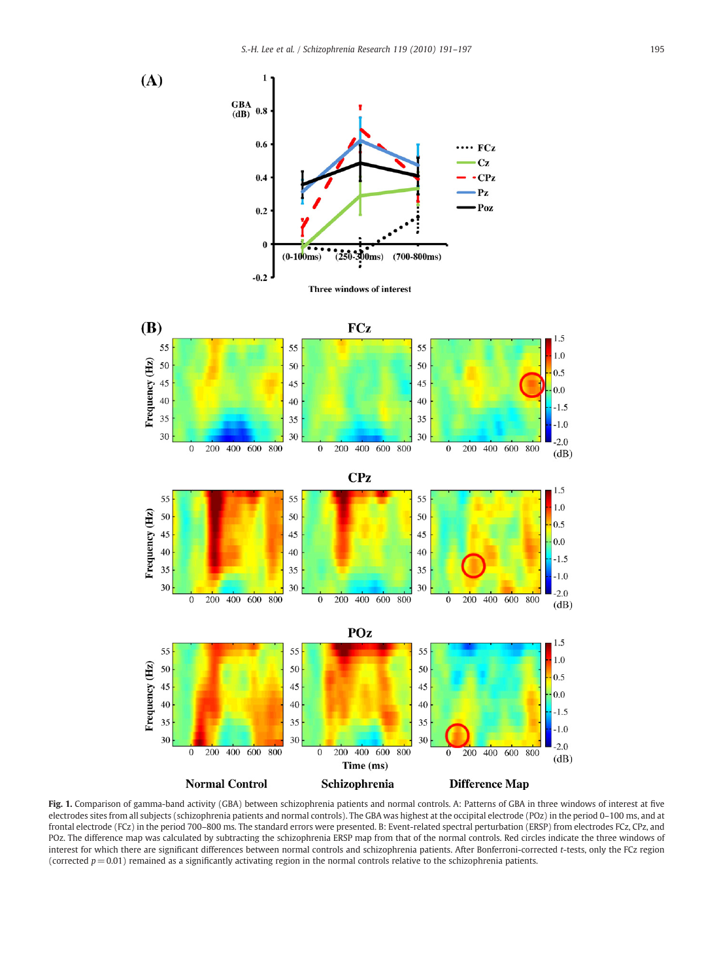<span id="page-4-0"></span>

Fig. 1. Comparison of gamma-band activity (GBA) between schizophrenia patients and normal controls. A: Patterns of GBA in three windows of interest at five electrodes sites from all subjects (schizophrenia patients and normal controls). The GBA was highest at the occipital electrode (POz) in the period 0–100 ms, and at frontal electrode (FCz) in the period 700–800 ms. The standard errors were presented. B: Event-related spectral perturbation (ERSP) from electrodes FCz, CPz, and POz. The difference map was calculated by subtracting the schizophrenia ERSP map from that of the normal controls. Red circles indicate the three windows of interest for which there are significant differences between normal controls and schizophrenia patients. After Bonferroni-corrected t-tests, only the FCz region (corrected  $p= 0.01$ ) remained as a significantly activating region in the normal controls relative to the schizophrenia patients.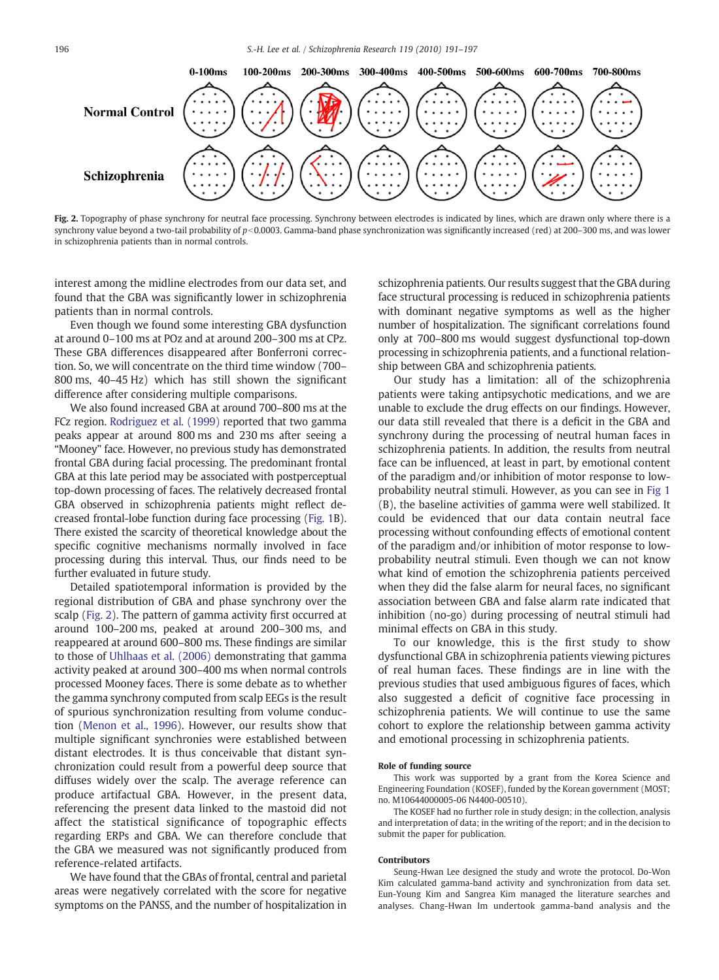<span id="page-5-0"></span>

Fig. 2. Topography of phase synchrony for neutral face processing. Synchrony between electrodes is indicated by lines, which are drawn only where there is a synchrony value beyond a two-tail probability of p<0.0003. Gamma-band phase synchronization was significantly increased (red) at 200-300 ms, and was lower in schizophrenia patients than in normal controls.

interest among the midline electrodes from our data set, and found that the GBA was significantly lower in schizophrenia patients than in normal controls.

Even though we found some interesting GBA dysfunction at around 0–100 ms at POz and at around 200–300 ms at CPz. These GBA differences disappeared after Bonferroni correction. So, we will concentrate on the third time window (700– 800 ms, 40–45 Hz) which has still shown the significant difference after considering multiple comparisons.

We also found increased GBA at around 700–800 ms at the FCz region. [Rodriguez et al. \(1999\)](#page-6-0) reported that two gamma peaks appear at around 800 ms and 230 ms after seeing a "Mooney" face. However, no previous study has demonstrated frontal GBA during facial processing. The predominant frontal GBA at this late period may be associated with postperceptual top-down processing of faces. The relatively decreased frontal GBA observed in schizophrenia patients might reflect decreased frontal-lobe function during face processing ([Fig. 1B](#page-4-0)). There existed the scarcity of theoretical knowledge about the specific cognitive mechanisms normally involved in face processing during this interval. Thus, our finds need to be further evaluated in future study.

Detailed spatiotemporal information is provided by the regional distribution of GBA and phase synchrony over the scalp (Fig. 2). The pattern of gamma activity first occurred at around 100–200 ms, peaked at around 200–300 ms, and reappeared at around 600–800 ms. These findings are similar to those of [Uhlhaas et al. \(2006\)](#page-6-0) demonstrating that gamma activity peaked at around 300–400 ms when normal controls processed Mooney faces. There is some debate as to whether the gamma synchrony computed from scalp EEGs is the result of spurious synchronization resulting from volume conduction ([Menon et al., 1996](#page-6-0)). However, our results show that multiple significant synchronies were established between distant electrodes. It is thus conceivable that distant synchronization could result from a powerful deep source that diffuses widely over the scalp. The average reference can produce artifactual GBA. However, in the present data, referencing the present data linked to the mastoid did not affect the statistical significance of topographic effects regarding ERPs and GBA. We can therefore conclude that the GBA we measured was not significantly produced from reference-related artifacts.

We have found that the GBAs of frontal, central and parietal areas were negatively correlated with the score for negative symptoms on the PANSS, and the number of hospitalization in schizophrenia patients. Our results suggest that the GBA during face structural processing is reduced in schizophrenia patients with dominant negative symptoms as well as the higher number of hospitalization. The significant correlations found only at 700–800 ms would suggest dysfunctional top-down processing in schizophrenia patients, and a functional relationship between GBA and schizophrenia patients.

Our study has a limitation: all of the schizophrenia patients were taking antipsychotic medications, and we are unable to exclude the drug effects on our findings. However, our data still revealed that there is a deficit in the GBA and synchrony during the processing of neutral human faces in schizophrenia patients. In addition, the results from neutral face can be influenced, at least in part, by emotional content of the paradigm and/or inhibition of motor response to lowprobability neutral stimuli. However, as you can see in [Fig 1](#page-4-0) (B), the baseline activities of gamma were well stabilized. It could be evidenced that our data contain neutral face processing without confounding effects of emotional content of the paradigm and/or inhibition of motor response to lowprobability neutral stimuli. Even though we can not know what kind of emotion the schizophrenia patients perceived when they did the false alarm for neural faces, no significant association between GBA and false alarm rate indicated that inhibition (no-go) during processing of neutral stimuli had minimal effects on GBA in this study.

To our knowledge, this is the first study to show dysfunctional GBA in schizophrenia patients viewing pictures of real human faces. These findings are in line with the previous studies that used ambiguous figures of faces, which also suggested a deficit of cognitive face processing in schizophrenia patients. We will continue to use the same cohort to explore the relationship between gamma activity and emotional processing in schizophrenia patients.

#### Role of funding source

This work was supported by a grant from the Korea Science and Engineering Foundation (KOSEF), funded by the Korean government (MOST; no. M10644000005-06 N4400-00510).

The KOSEF had no further role in study design; in the collection, analysis and interpretation of data; in the writing of the report; and in the decision to submit the paper for publication.

## Contributors

Seung-Hwan Lee designed the study and wrote the protocol. Do-Won Kim calculated gamma-band activity and synchronization from data set. Eun-Young Kim and Sangrea Kim managed the literature searches and analyses. Chang-Hwan Im undertook gamma-band analysis and the